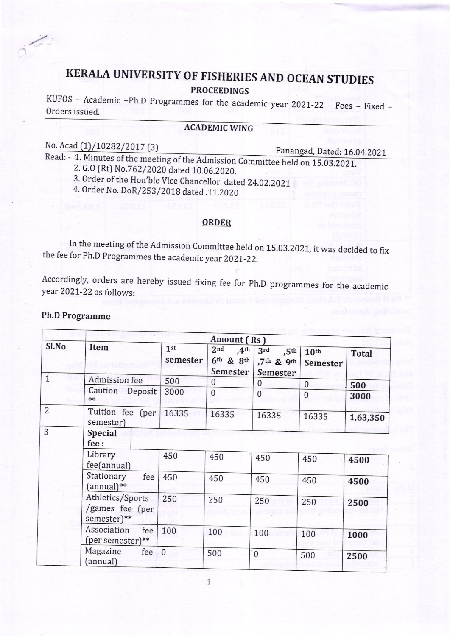# KERATA UNIVERSITY OF FISHERIES AND OCEAN STUDIES PROCEEDINGS

KUFOS - Academic -Ph.D Programmes for the academic year 2021-22 - Fees - Fixed - Orders issued.

### ACADEMIC WING

## No. Acad (1)/10282/2017 (3)

Panangad, Dated: 16.04.2021

ranangad, Dated: 16.<br>Read: - 1. Minutes of the meeting of the Admission Committee held on 15.03.2021

2. G.O (Rt) No.762/2020 dated 10.06.2020.

3. Order of the Hon'ble Vice Chancellor dated 24.02.2021

4. Order No. DoR/253/2018 dated .11.2020

#### ORDER

In the meeting of the Admission Committee held on 15.03.2021, it was decided to fix the fee for Ph.D Programmes the academic year 2021-22.

Accordingly, orders are hereby issued fixing fee for ph.D programmes for the academic year 202L-22 as follows:

| Sl.No          |                                                    | Amount (Rs)                 |                                                 |                                                                                                              |                              |              |  |  |
|----------------|----------------------------------------------------|-----------------------------|-------------------------------------------------|--------------------------------------------------------------------------------------------------------------|------------------------------|--------------|--|--|
|                | Item                                               | 1 <sup>st</sup><br>semester | 2 <sub>nd</sub><br>.4 <sup>th</sup><br>Semester | 3rd<br>, 5 <sup>th</sup><br>6 <sup>th</sup> & 8 <sup>th</sup> ,7 <sup>th</sup> & 9 <sup>th</sup><br>Semester | 10 <sup>th</sup><br>Semester | <b>Total</b> |  |  |
| $\mathbf{1}$   | Admission fee                                      | 500                         | 0                                               | $\mathbf{0}$                                                                                                 | $\mathbf{0}$                 | 500          |  |  |
|                | Caution Deposit<br>$**$                            | 3000                        | $\Omega$                                        | $\theta$                                                                                                     | $\mathbf{0}$                 | 3000         |  |  |
| $\overline{2}$ | Tuition fee (per<br>semester)                      | 16335                       | 16335                                           | 16335                                                                                                        | 16335                        | 1,63,350     |  |  |
| 3              | <b>Special</b><br>fee:                             |                             |                                                 |                                                                                                              |                              |              |  |  |
|                | Library<br>fee(annual)                             | 450                         | 450                                             | 450                                                                                                          | 450                          | 4500         |  |  |
|                | Stationary<br>fee<br>$(annual)**$                  | 450                         | 450                                             | 450                                                                                                          | 450                          | 4500         |  |  |
|                | Athletics/Sports<br>/games fee (per<br>semester)** | 250                         | 250                                             | 250<br>32533                                                                                                 | 250                          | 2500         |  |  |
|                | Association<br>fee<br>(per semester)**             | 100                         | 100                                             | 100                                                                                                          | 100                          | 1000         |  |  |
|                | Magazine<br>fee<br>(annual)                        | $\mathbf{0}$                | 500                                             | $\theta$                                                                                                     | 500                          | 2500         |  |  |

#### Ph.D Programme

1,